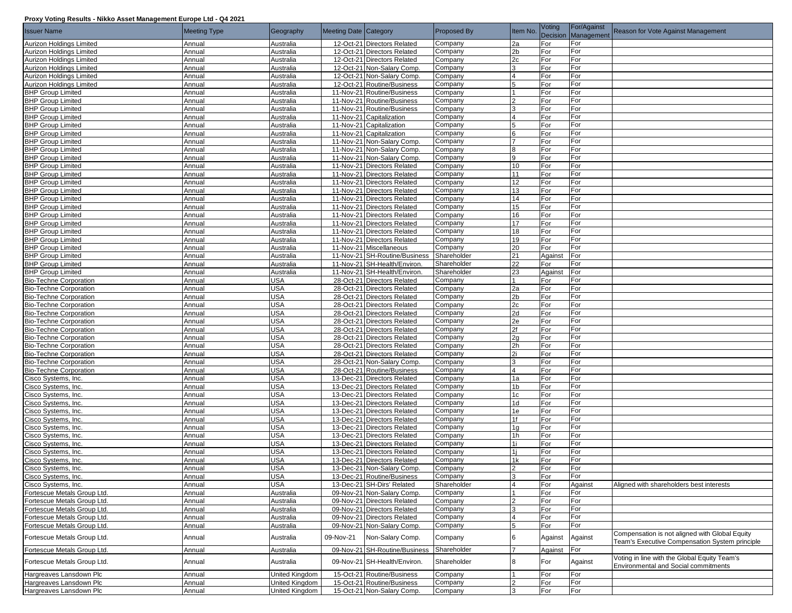## **Proxy Voting Results - Nikko Asset Management Europe Ltd - Q4 2021**

| <b>Issuer Name</b>                                   | <b>Meeting Type</b> | Geography              | Meeting Date Category |                                                            | <b>Proposed By</b> | Item No.       | Voting     | For/Against<br>Decision Management | Reason for Vote Against Management                                                               |
|------------------------------------------------------|---------------------|------------------------|-----------------------|------------------------------------------------------------|--------------------|----------------|------------|------------------------------------|--------------------------------------------------------------------------------------------------|
| Aurizon Holdings Limited                             | Annual              | Australia              |                       | 12-Oct-21 Directors Related                                | Company            | 2a             | For        | For                                |                                                                                                  |
| Aurizon Holdings Limited                             | Annual              | Australia              |                       | 12-Oct-21 Directors Related                                | Company            | 2 <sub>b</sub> | For        | For                                |                                                                                                  |
| Aurizon Holdings Limited                             | Annual              | Australia              |                       | 12-Oct-21 Directors Related                                | Company            | 2c             | For        | For                                |                                                                                                  |
| Aurizon Holdings Limited                             | Annual              | Australia              |                       | 12-Oct-21 Non-Salary Comp.                                 | Company            | 3              | For        | For                                |                                                                                                  |
| Aurizon Holdings Limited                             | Annual              | Australia              |                       | 12-Oct-21 Non-Salary Comp.                                 | Company            | 4              | For        | For                                |                                                                                                  |
| Aurizon Holdings Limited                             | Annual              | Australia              |                       | 12-Oct-21 Routine/Business                                 | Company            |                | For        | For                                |                                                                                                  |
| <b>BHP Group Limited</b>                             | Annual              | Australia              |                       | 11-Nov-21 Routine/Business                                 | Company            |                | For        | For                                |                                                                                                  |
| <b>BHP Group Limited</b>                             | Annual              | Australia              |                       | 11-Nov-21 Routine/Business                                 | Company            | $\mathcal{P}$  | For        | For                                |                                                                                                  |
| <b>BHP Group Limited</b>                             | Annual              | Australia              |                       | 11-Nov-21 Routine/Business                                 | Company            |                | For        | For                                |                                                                                                  |
| <b>BHP Group Limited</b>                             | Annual              | Australia              |                       | 11-Nov-21 Capitalization                                   | Company            |                | For        | For                                |                                                                                                  |
| <b>BHP Group Limited</b>                             | Annual              | Australia              |                       | 11-Nov-21 Capitalization                                   | Company            | 5              | For        | For                                |                                                                                                  |
| <b>BHP Group Limited</b>                             | Annual              | Australia              |                       | 11-Nov-21 Capitalization                                   | Company            | 6              | For        | For                                |                                                                                                  |
| <b>BHP Group Limited</b>                             | Annual              | Australia              |                       | 11-Nov-21 Non-Salary Comp.                                 | Company            |                | For        | For                                |                                                                                                  |
| <b>BHP Group Limited</b>                             | Annual              | Australia              |                       | 11-Nov-21 Non-Salary Comp.                                 | Company            |                | For        | For                                |                                                                                                  |
| <b>BHP Group Limited</b>                             | Annual              | Australia              |                       | 11-Nov-21 Non-Salary Comp.                                 | Company            | 9              | For        | For                                |                                                                                                  |
| <b>BHP Group Limited</b>                             | Annual              | Australia              |                       | 11-Nov-21 Directors Related                                | Company            | 10             | For        | For                                |                                                                                                  |
| <b>BHP Group Limited</b>                             | Annual<br>Annual    | Australia              |                       | 11-Nov-21 Directors Related<br>11-Nov-21 Directors Related | Company            | 11<br>12       | For<br>For | For<br>For                         |                                                                                                  |
| <b>BHP Group Limited</b><br><b>BHP Group Limited</b> | Annual              | Australia<br>Australia |                       | 11-Nov-21 Directors Related                                | Company<br>Company | 13             | For        | For                                |                                                                                                  |
| <b>BHP Group Limited</b>                             | Annual              | Australia              |                       | 11-Nov-21 Directors Related                                | Company            | 14             | For        | For                                |                                                                                                  |
| <b>BHP Group Limited</b>                             | Annual              | Australia              |                       | 11-Nov-21 Directors Related                                | Company            | 15             | For        | For                                |                                                                                                  |
| <b>BHP Group Limited</b>                             | Annual              | Australia              |                       | 11-Nov-21 Directors Related                                | Company            | 16             | For        | For                                |                                                                                                  |
| <b>BHP Group Limited</b>                             | Annual              | Australia              |                       | 11-Nov-21 Directors Related                                | Company            | 17             | For        | For                                |                                                                                                  |
| <b>BHP Group Limited</b>                             | Annual              | Australia              |                       | 11-Nov-21 Directors Related                                | Company            | 18             | For        | For                                |                                                                                                  |
| <b>BHP Group Limited</b>                             | Annual              | Australia              |                       | 11-Nov-21 Directors Related                                | Company            | 19             | For        | For                                |                                                                                                  |
| <b>BHP Group Limited</b>                             | Annual              | Australia              |                       | 11-Nov-21 Miscellaneous                                    | Company            | 20             | For        | For                                |                                                                                                  |
| <b>BHP Group Limited</b>                             | Annual              | Australia              |                       | 11-Nov-21 SH-Routine/Business                              | Shareholder        | 21             | Against    | For                                |                                                                                                  |
| <b>BHP Group Limited</b>                             | Annual              | Australia              |                       | 11-Nov-21 SH-Health/Environ.                               | Shareholder        | 22             | For        | For                                |                                                                                                  |
| <b>BHP Group Limited</b>                             | Annual              | Australia              |                       | 11-Nov-21 SH-Health/Environ.                               | Shareholder        | 23             | Against    | For                                |                                                                                                  |
| <b>Bio-Techne Corporation</b>                        | Annual              | USA                    |                       | 28-Oct-21 Directors Related                                | Company            |                | For        | For                                |                                                                                                  |
| <b>Bio-Techne Corporation</b>                        | Annual              | USA                    |                       | 28-Oct-21 Directors Related                                | Company            | 2a             | For        | For                                |                                                                                                  |
| <b>Bio-Techne Corporation</b>                        | Annual              | USA                    |                       | 28-Oct-21 Directors Related                                | Company            | 2 <sub>b</sub> | For        | For                                |                                                                                                  |
| <b>Bio-Techne Corporation</b>                        | Annual              | USA                    |                       | 28-Oct-21 Directors Related                                | Company            | 2c             | For        | For                                |                                                                                                  |
| <b>Bio-Techne Corporation</b>                        | Annual              | USA                    |                       | 28-Oct-21 Directors Related                                | Company            | 2d             | For        | For                                |                                                                                                  |
| <b>Bio-Techne Corporation</b>                        | Annual              | USA                    |                       | 28-Oct-21 Directors Related                                | Company            | 2e             | For        | For                                |                                                                                                  |
| <b>Bio-Techne Corporation</b>                        | Annual              | <b>USA</b>             |                       | 28-Oct-21 Directors Related                                | Company            | 2f             | For        | For                                |                                                                                                  |
| <b>Bio-Techne Corporation</b>                        | Annual              | USA                    |                       | 28-Oct-21 Directors Related                                | Company            | 2g             | For        | For                                |                                                                                                  |
| <b>Bio-Techne Corporation</b>                        | Annual              | USA                    |                       | 28-Oct-21 Directors Related                                | Company            | 2h             | For        | For                                |                                                                                                  |
| <b>Bio-Techne Corporation</b>                        | Annual              | USA                    |                       | 28-Oct-21 Directors Related                                | Company            | 2i             | For        | For                                |                                                                                                  |
| <b>Bio-Techne Corporation</b>                        | Annual              | USA                    |                       | 28-Oct-21 Non-Salary Comp.                                 | Company            | 3              | For        | For                                |                                                                                                  |
| <b>Bio-Techne Corporation</b>                        | Annual              | USA                    |                       | 28-Oct-21 Routine/Business                                 | Company            | $\overline{4}$ | For        | For                                |                                                                                                  |
| Cisco Systems, Inc.                                  | Annual              | <b>USA</b>             |                       | 13-Dec-21 Directors Related                                | Company            | 1a             | For        | For                                |                                                                                                  |
| Cisco Systems, Inc.                                  | Annual              | USA                    |                       | 13-Dec-21 Directors Related                                | Company            | 1 <sub>b</sub> | For        | For                                |                                                                                                  |
| Cisco Systems, Inc.                                  | Annual              | USA                    |                       | 13-Dec-21 Directors Related                                | Company            | 1 <sub>c</sub> | For        | For                                |                                                                                                  |
| Cisco Systems, Inc.                                  | Annual              | <b>USA</b>             |                       | 13-Dec-21 Directors Related                                | Company            | 1d             | For        | For                                |                                                                                                  |
| Cisco Systems, Inc.                                  | Annual              | USA                    |                       | 13-Dec-21 Directors Related                                | Company            | 1e             | For        | For                                |                                                                                                  |
| Cisco Systems, Inc.                                  | Annual              | <b>USA</b>             |                       | 13-Dec-21 Directors Related                                | Company            | 1f             | For        | For                                |                                                                                                  |
| Cisco Systems, Inc.<br>Cisco Systems, Inc.           | Annual              | USA                    |                       | 13-Dec-21 Directors Related                                | Company            | 1g             | For        | For                                |                                                                                                  |
| Cisco Systems, Inc.                                  | Annual<br>Annual    | USA<br>USA             |                       | 13-Dec-21 Directors Related<br>13-Dec-21 Directors Related | Company<br>Company | 1h<br>1i       | For<br>For | For<br>For                         |                                                                                                  |
| Cisco Systems, Inc                                   | Annual              | USA                    |                       | 13-Dec-21 Directors Related                                | Company            | 1i             | For        | For                                |                                                                                                  |
| Cisco Systems, Inc.                                  | Annual              | USA                    |                       | 13-Dec-21 Directors Related                                | Company            | 1k             | For        | For                                |                                                                                                  |
| Cisco Systems, Inc.                                  | Annual              | <b>USA</b>             |                       | 13-Dec-21 Non-Salary Comp.                                 | Company            | $\overline{2}$ | For        | For                                |                                                                                                  |
| Cisco Systems, Inc.                                  | Annual              | <b>USA</b>             |                       | 13-Dec-21 Routine/Business                                 | Company            | 3              | For        | For                                |                                                                                                  |
| Cisco Systems, Inc.                                  | Annual              | <b>USA</b>             |                       | 13-Dec-21 SH-Dirs' Related                                 | Shareholder        |                | For        | Against                            | Aligned with shareholders best interests                                                         |
| Fortescue Metals Group Ltd.                          | Annual              | Australia              |                       | 09-Nov-21 Non-Salary Comp.                                 | Company            |                | For        | For                                |                                                                                                  |
| Fortescue Metals Group Ltd.                          | Annual              | Australia              |                       | 09-Nov-21 Directors Related                                | Company            | $\mathcal{D}$  | For        | For                                |                                                                                                  |
| Fortescue Metals Group Ltd.                          | Annual              | Australia              |                       | 09-Nov-21 Directors Related                                | Company            | 3              | For        | For                                |                                                                                                  |
| Fortescue Metals Group Ltd.                          | Annual              | Australia              |                       | 09-Nov-21 Directors Related                                | Company            | 4              | For        | For                                |                                                                                                  |
| Fortescue Metals Group Ltd.                          | Annual              | Australia              |                       | 09-Nov-21 Non-Salary Comp.                                 | Company            | 5              | For        | For                                |                                                                                                  |
| Fortescue Metals Group Ltd.                          | Annual              | Australia              | 09-Nov-21             | Non-Salary Comp.                                           | Company            | 6              | Against    | Against                            | Compensation is not aligned with Global Equity<br>Team's Executive Compensation System principle |
| Fortescue Metals Group Ltd.                          | Annual              | Australia              |                       | 09-Nov-21 SH-Routine/Business                              | Shareholder        |                | Against    | For                                |                                                                                                  |
| Fortescue Metals Group Ltd.                          | Annual              | Australia              |                       | 09-Nov-21 SH-Health/Environ.                               | Shareholder        | 8              | For        | Against                            | Voting in line with the Global Equity Team's<br>Environmental and Social commitments             |
| Hargreaves Lansdown Plc                              | Annual              | United Kingdom         |                       | 15-Oct-21 Routine/Business                                 | Company            |                | For        | For                                |                                                                                                  |
| Hargreaves Lansdown Plc                              | Annual              | United Kingdom         |                       | 15-Oct-21 Routine/Business                                 | Company            |                | For        | For                                |                                                                                                  |
| Hargreaves Lansdown Plc                              | Annual              | United Kingdom         |                       | 15-Oct-21 Non-Salary Comp.                                 | Company            | $\mathbf{B}$   | For        | For                                |                                                                                                  |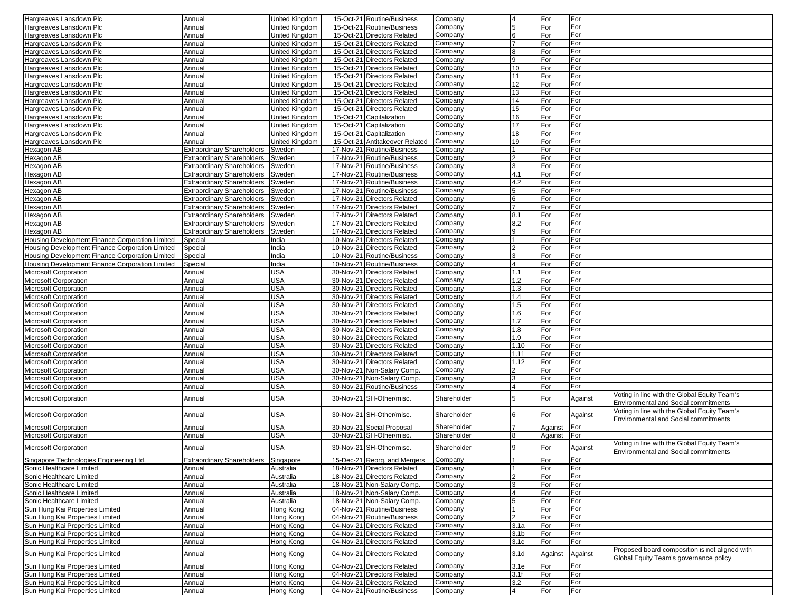| Hargreaves Lansdown Plc                         | Annual                            | <b>United Kingdom</b> | 15-Oct-21 Routine/Business     | Company     | $\overline{4}$   | For     | For     |                                                                                      |
|-------------------------------------------------|-----------------------------------|-----------------------|--------------------------------|-------------|------------------|---------|---------|--------------------------------------------------------------------------------------|
| Hargreaves Lansdown Plc                         | Annual                            | United Kingdom        | 15-Oct-21 Routine/Business     | Company     | 5                | For     | For     |                                                                                      |
| Hargreaves Lansdown Plc                         | Annual                            | United Kingdom        | 15-Oct-21 Directors Related    | Company     | 6                | For     | For     |                                                                                      |
|                                                 |                                   |                       |                                |             |                  |         |         |                                                                                      |
| Hargreaves Lansdown Plc                         | Annual                            | United Kingdom        | 15-Oct-21 Directors Related    | Company     |                  | For     | For     |                                                                                      |
| Hargreaves Lansdown Plc                         | Annual                            | <b>United Kingdom</b> | 15-Oct-21 Directors Related    | Company     | 8                | For     | For     |                                                                                      |
| Hargreaves Lansdown Plc                         | Annual                            | United Kingdom        | 15-Oct-21 Directors Related    | Company     | 9                | For     | For     |                                                                                      |
| Hargreaves Lansdown Plc                         | Annual                            | United Kingdom        | 15-Oct-21 Directors Related    | Company     | 10               | For     | For     |                                                                                      |
| Hargreaves Lansdown Plc                         | Annual                            | <b>United Kingdom</b> | 15-Oct-21 Directors Related    | Company     | 11               | For     | For     |                                                                                      |
| Hargreaves Lansdown Plc                         | Annual                            | United Kingdom        | 15-Oct-21 Directors Related    | Company     | 12               | For     | For     |                                                                                      |
| Hargreaves Lansdown Plc                         | Annual                            | United Kingdom        | 15-Oct-21 Directors Related    | Company     | 13               | For     | For     |                                                                                      |
|                                                 |                                   |                       |                                |             |                  |         |         |                                                                                      |
| Hargreaves Lansdown Plc                         | Annual                            | United Kingdom        | 15-Oct-21 Directors Related    | Company     | 14               | For     | For     |                                                                                      |
| Hargreaves Lansdown Plc                         | Annual                            | United Kingdom        | 15-Oct-21 Directors Related    | Company     | 15               | For     | For     |                                                                                      |
| Hargreaves Lansdown Plc                         | Annual                            | United Kingdom        | 15-Oct-21 Capitalization       | Company     | 16               | For     | For     |                                                                                      |
| Hargreaves Lansdown Plc                         | Annual                            | United Kingdom        | 15-Oct-21 Capitalization       | Company     | 17               | For     | For     |                                                                                      |
| Hargreaves Lansdown Plc                         | Annual                            | United Kingdom        | 15-Oct-21 Capitalization       | Company     | 18               | For     | For     |                                                                                      |
| Hargreaves Lansdown Plc                         | Annual                            | <b>United Kingdom</b> | 15-Oct-21 Antitakeover Related | Company     | 19               | For     | For     |                                                                                      |
| Hexagon AB                                      | <b>Extraordinary Shareholders</b> | Sweden                | 17-Nov-21 Routine/Business     | Company     |                  | For     | For     |                                                                                      |
| Hexagon AB                                      | <b>Extraordinary Shareholders</b> | Sweden                | 17-Nov-21 Routine/Business     | Company     |                  | For     | For     |                                                                                      |
|                                                 |                                   |                       |                                |             | 3                |         | For     |                                                                                      |
| Hexagon AB                                      | <b>Extraordinary Shareholders</b> | Sweden                | 17-Nov-21 Routine/Business     | Company     |                  | For     |         |                                                                                      |
| Hexagon AB                                      | <b>Extraordinary Shareholders</b> | Sweden                | 17-Nov-21 Routine/Business     | Company     | 4.1              | For     | For     |                                                                                      |
| Hexagon AB                                      | <b>Extraordinary Shareholders</b> | Sweden                | 17-Nov-21 Routine/Business     | Company     | 4.2              | For     | For     |                                                                                      |
| Hexagon AB                                      | <b>Extraordinary Shareholders</b> | Sweden                | 17-Nov-21 Routine/Business     | Company     | 5                | For     | For     |                                                                                      |
| Hexagon AB                                      | <b>Extraordinary Shareholders</b> | Sweden                | 17-Nov-21 Directors Related    | Company     | 6                | For     | For     |                                                                                      |
| Hexagon AB                                      | <b>Extraordinary Shareholders</b> | Sweden                | 17-Nov-21 Directors Related    | Company     |                  | For     | For     |                                                                                      |
| Hexagon AB                                      | <b>Extraordinary Shareholders</b> | Sweden                | 17-Nov-21 Directors Related    | Company     | 8.1              | For     | For     |                                                                                      |
| Hexagon AB                                      | <b>Extraordinary Shareholders</b> |                       | 17-Nov-21 Directors Related    | Company     | 8.2              | For     | For     |                                                                                      |
|                                                 |                                   | Sweden                |                                |             |                  |         |         |                                                                                      |
| Hexagon AB                                      | <b>Extraordinary Shareholders</b> | Sweden                | 17-Nov-21 Directors Related    | Company     | 9                | For     | For     |                                                                                      |
| Housing Development Finance Corporation Limited | Special                           | India                 | 10-Nov-21 Directors Related    | Company     |                  | For     | For     |                                                                                      |
| Housing Development Finance Corporation Limited | Special                           | India                 | 10-Nov-21 Directors Related    | Company     | $\mathcal{P}$    | For     | For     |                                                                                      |
| Housing Development Finance Corporation Limited | Special                           | India                 | 10-Nov-21 Routine/Business     | Company     | 3                | For     | For     |                                                                                      |
| Housing Development Finance Corporation Limited | Special                           | India                 | 10-Nov-21 Routine/Business     | Company     | $\overline{4}$   | For     | For     |                                                                                      |
| Microsoft Corporation                           | Annual                            | <b>USA</b>            | 30-Nov-21 Directors Related    | Company     | 1.1              | For     | For     |                                                                                      |
| Microsoft Corporation                           | Annual                            | <b>USA</b>            | 30-Nov-21 Directors Related    | Company     | 1.2              | For     | For     |                                                                                      |
|                                                 |                                   |                       |                                |             |                  |         |         |                                                                                      |
| Microsoft Corporation                           | Annual                            | <b>USA</b>            | 30-Nov-21 Directors Related    | Company     | 1.3              | For     | For     |                                                                                      |
| Microsoft Corporation                           | Annual                            | <b>USA</b>            | 30-Nov-21 Directors Related    | Company     | 1.4              | For     | For     |                                                                                      |
| Microsoft Corporation                           | Annual                            | <b>USA</b>            | 30-Nov-21 Directors Related    | Company     | 1.5              | For     | For     |                                                                                      |
| Microsoft Corporation                           | Annual                            | <b>USA</b>            | 30-Nov-21 Directors Related    | Company     | 1.6              | For     | For     |                                                                                      |
| Microsoft Corporation                           | Annual                            | <b>USA</b>            | 30-Nov-21 Directors Related    | Company     | 1.7              | For     | For     |                                                                                      |
| Microsoft Corporation                           | Annual                            | <b>USA</b>            | 30-Nov-21 Directors Related    | Company     | 1.8              | For     | For     |                                                                                      |
| Microsoft Corporation                           | Annual                            | <b>USA</b>            | 30-Nov-21 Directors Related    | Company     | 1.9              | For     | For     |                                                                                      |
|                                                 |                                   |                       |                                |             |                  |         |         |                                                                                      |
| Microsoft Corporation                           | Annual                            | <b>USA</b>            | 30-Nov-21 Directors Related    | Company     | 1.10             | For     | For     |                                                                                      |
| Microsoft Corporation                           | Annual                            | <b>USA</b>            | 30-Nov-21 Directors Related    | Company     | 1.11             | For     | For     |                                                                                      |
| Microsoft Corporation                           | Annual                            | <b>USA</b>            | 30-Nov-21 Directors Related    | Company     | 1.12             | For     | For     |                                                                                      |
| <b>Microsoft Corporation</b>                    | Annual                            | <b>USA</b>            | 30-Nov-21 Non-Salary Comp.     | Company     | 2                | For     | For     |                                                                                      |
| Microsoft Corporation                           | Annual                            | <b>USA</b>            | 30-Nov-21 Non-Salary Comp.     | Company     | 3                | For     | For     |                                                                                      |
| Microsoft Corporation                           | Annual                            | <b>USA</b>            | 30-Nov-21 Routine/Business     | Company     | $\overline{4}$   | For     | For     |                                                                                      |
| Microsoft Corporation                           | Annual                            | <b>USA</b>            | 30-Nov-21 SH-Other/misc.       | Shareholder | 5                | For     | Against | Voting in line with the Global Equity Team's<br>Environmental and Social commitments |
| <b>Microsoft Corporation</b>                    | Annual                            | <b>USA</b>            | 30-Nov-21 SH-Other/misc.       | Shareholder | 6                | For     | Against | Voting in line with the Global Equity Team's                                         |
|                                                 |                                   |                       |                                |             |                  |         |         | Environmental and Social commitments                                                 |
| Microsoft Corporation                           | Annual                            | <b>USA</b>            | 30-Nov-21 Social Proposal      | Shareholder | 7                | Against | For     |                                                                                      |
| Microsoft Corporation                           | Annual                            | USA                   | 30-Nov-21 SH-Other/misc.       | Shareholder | 8                | Against | For     |                                                                                      |
| <b>Microsoft Corporation</b>                    | Annual                            | <b>USA</b>            | 30-Nov-21 SH-Other/misc.       | Shareholder | 9                | For     | Against | Voting in line with the Global Equity Team's<br>Environmental and Social commitments |
| Singapore Technologies Engineering Ltd.         | <b>Extraordinary Shareholders</b> | Singapore             | 15-Dec-21 Reorg. and Mergers   | Company     |                  | For     | For     |                                                                                      |
| Sonic Healthcare Limited                        | Annual                            | Australia             | 18-Nov-21 Directors Related    | Company     |                  | For     | For     |                                                                                      |
| Sonic Healthcare Limited                        | Annual                            | Australia             | 18-Nov-21 Directors Related    | Company     |                  | For     | For     |                                                                                      |
|                                                 |                                   |                       |                                |             |                  |         |         |                                                                                      |
| Sonic Healthcare Limited                        | Annual                            | Australia             | 18-Nov-21 Non-Salary Comp.     | Company     | 3                | For     | For     |                                                                                      |
| Sonic Healthcare Limited                        | Annual                            | Australia             | 18-Nov-21 Non-Salary Comp.     | Company     | $\overline{4}$   | For     | For     |                                                                                      |
| Sonic Healthcare Limited                        | Annual                            | Australia             | 18-Nov-21 Non-Salary Comp.     | Company     | 5                | For     | For     |                                                                                      |
| Sun Hung Kai Properties Limited                 | Annual                            | Hong Kong             | 04-Nov-21 Routine/Business     | Company     |                  | For     | For     |                                                                                      |
| Sun Hung Kai Properties Limited                 | Annual                            | Hong Kong             | 04-Nov-21 Routine/Business     | Company     | 2                | For     | For     |                                                                                      |
| Sun Hung Kai Properties Limited                 | Annual                            | Hong Kong             | 04-Nov-21 Directors Related    | Company     | 3.1a             | For     | For     |                                                                                      |
| Sun Hung Kai Properties Limited                 | Annual                            | Hong Kong             | 04-Nov-21 Directors Related    | Company     | 3.1 <sub>b</sub> | For     | For     |                                                                                      |
| Sun Hung Kai Properties Limited                 | Annual                            | Hong Kong             | 04-Nov-21 Directors Related    | Company     | 3.1 <sub>c</sub> | For     | For     |                                                                                      |
|                                                 |                                   |                       |                                |             |                  |         |         | Proposed board composition is not aligned with                                       |
| Sun Hung Kai Properties Limited                 | Annual                            | Hong Kong             | 04-Nov-21 Directors Related    | Company     | 3.1 <sub>d</sub> | Against | Against | Global Equity Team's governance policy                                               |
| Sun Hung Kai Properties Limited                 | Annual                            | Hong Kong             | 04-Nov-21 Directors Related    | Company     | 3.1e             | For     | For     |                                                                                      |
| Sun Hung Kai Properties Limited                 | Annual                            | Hong Kong             | 04-Nov-21 Directors Related    | Company     | 3.1f             | For     | For     |                                                                                      |
| Sun Hung Kai Properties Limited                 | Annual                            | Hong Kong             | 04-Nov-21 Directors Related    | Company     | 3.2              | For     | For     |                                                                                      |
| Sun Hung Kai Properties Limited                 | Annual                            | Hong Kong             | 04-Nov-21 Routine/Business     | Company     | $\overline{4}$   | For     | For     |                                                                                      |